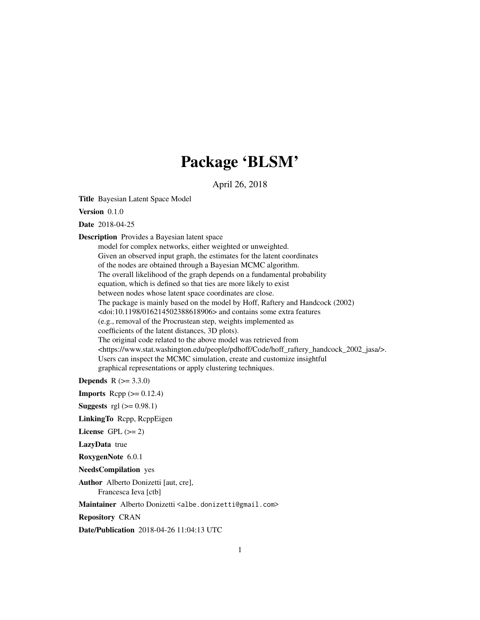# Package 'BLSM'

April 26, 2018

Title Bayesian Latent Space Model

Version 0.1.0

Date 2018-04-25

Description Provides a Bayesian latent space

model for complex networks, either weighted or unweighted. Given an observed input graph, the estimates for the latent coordinates of the nodes are obtained through a Bayesian MCMC algorithm. The overall likelihood of the graph depends on a fundamental probability equation, which is defined so that ties are more likely to exist between nodes whose latent space coordinates are close. The package is mainly based on the model by Hoff, Raftery and Handcock (2002) <doi:10.1198/016214502388618906> and contains some extra features (e.g., removal of the Procrustean step, weights implemented as coefficients of the latent distances, 3D plots). The original code related to the above model was retrieved from <https://www.stat.washington.edu/people/pdhoff/Code/hoff\_raftery\_handcock\_2002\_jasa/>. Users can inspect the MCMC simulation, create and customize insightful graphical representations or apply clustering techniques.

**Depends** R  $(>= 3.3.0)$ 

**Imports** Rcpp  $(>= 0.12.4)$ **Suggests** rgl  $(>= 0.98.1)$ LinkingTo Rcpp, RcppEigen License GPL  $(>= 2)$ LazyData true

RoxygenNote 6.0.1

NeedsCompilation yes

Author Alberto Donizetti [aut, cre], Francesca Ieva [ctb]

Maintainer Alberto Donizetti <albe.donizetti@gmail.com>

Repository CRAN

Date/Publication 2018-04-26 11:04:13 UTC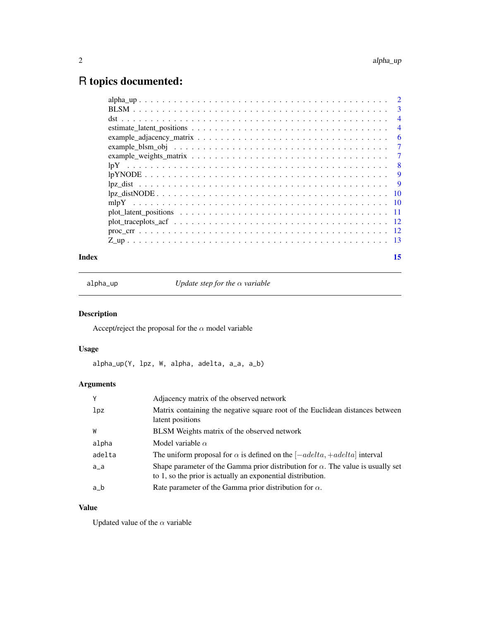# <span id="page-1-0"></span>R topics documented:

| 3              |
|----------------|
| $\overline{4}$ |
| $\overline{4}$ |
| 6              |
| 7              |
| 7              |
| -8             |
| 9              |
| 9              |
|                |
|                |
|                |
|                |
|                |
|                |
|                |

# **Index** [15](#page-14-0)

alpha\_up *Update step for the* α *variable*

# Description

Accept/reject the proposal for the  $\alpha$  model variable

# Usage

alpha\_up(Y, lpz, W, alpha, adelta, a\_a, a\_b)

# Arguments

| Y               | Adjacency matrix of the observed network                                                                                                               |
|-----------------|--------------------------------------------------------------------------------------------------------------------------------------------------------|
| 1 <sub>pz</sub> | Matrix containing the negative square root of the Euclidean distances between<br>latent positions                                                      |
| W               | BLSM Weights matrix of the observed network                                                                                                            |
| alpha           | Model variable $\alpha$                                                                                                                                |
| adelta          | The uniform proposal for $\alpha$ is defined on the $[-adelta, +adelta]$ interval                                                                      |
| $a_a$           | Shape parameter of the Gamma prior distribution for $\alpha$ . The value is usually set<br>to 1, so the prior is actually an exponential distribution. |
| a_b             | Rate parameter of the Gamma prior distribution for $\alpha$ .                                                                                          |

# Value

Updated value of the  $\alpha$  variable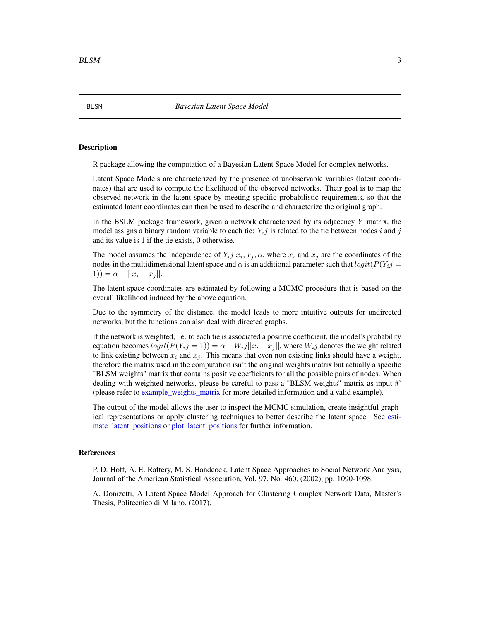#### **Description**

R package allowing the computation of a Bayesian Latent Space Model for complex networks.

Latent Space Models are characterized by the presence of unobservable variables (latent coordinates) that are used to compute the likelihood of the observed networks. Their goal is to map the observed network in the latent space by meeting specific probabilistic requirements, so that the estimated latent coordinates can then be used to describe and characterize the original graph.

In the BSLM package framework, given a network characterized by its adjacency  $Y$  matrix, the model assigns a binary random variable to each tie:  $Y_i j$  is related to the tie between nodes i and j and its value is 1 if the tie exists, 0 otherwise.

The model assumes the independence of  $Y_{ij}|x_i, x_j, \alpha$ , where  $x_i$  and  $x_j$  are the coordinates of the nodes in the multidimensional latent space and  $\alpha$  is an additional parameter such that  $logit(P(Y_i) =$ 1)) =  $\alpha - ||x_i - x_j||$ .

The latent space coordinates are estimated by following a MCMC procedure that is based on the overall likelihood induced by the above equation.

Due to the symmetry of the distance, the model leads to more intuitive outputs for undirected networks, but the functions can also deal with directed graphs.

If the network is weighted, i.e. to each tie is associated a positive coefficient, the model's probability equation becomes  $logit(P(Y_i|j = 1)) = \alpha - W_i|X_i - x_j|$ , where  $W_i|j$  denotes the weight related to link existing between  $x_i$  and  $x_j$ . This means that even non existing links should have a weight, therefore the matrix used in the computation isn't the original weights matrix but actually a specific "BLSM weights" matrix that contains positive coefficients for all the possible pairs of nodes. When dealing with weighted networks, please be careful to pass a "BLSM weights" matrix as input #' (please refer to [example\\_weights\\_matrix](#page-6-1) for more detailed information and a valid example).

The output of the model allows the user to inspect the MCMC simulation, create insightful graphical representations or apply clustering techniques to better describe the latent space. See [esti](#page-3-1)[mate\\_latent\\_positions](#page-3-1) or [plot\\_latent\\_positions](#page-10-1) for further information.

#### References

P. D. Hoff, A. E. Raftery, M. S. Handcock, Latent Space Approaches to Social Network Analysis, Journal of the American Statistical Association, Vol. 97, No. 460, (2002), pp. 1090-1098.

A. Donizetti, A Latent Space Model Approach for Clustering Complex Network Data, Master's Thesis, Politecnico di Milano, (2017).

<span id="page-2-1"></span><span id="page-2-0"></span>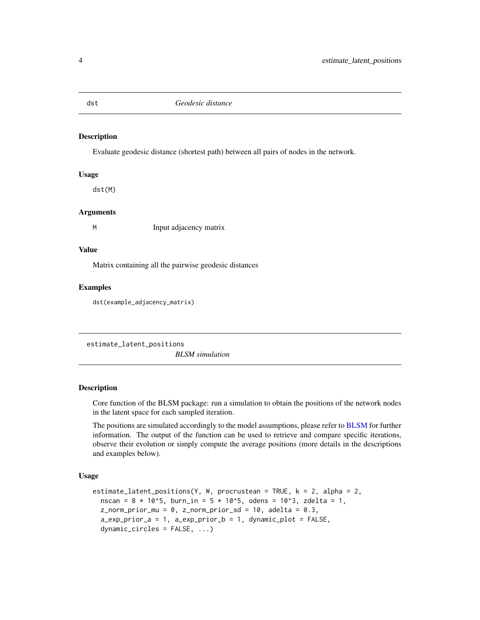<span id="page-3-0"></span>

#### Description

Evaluate geodesic distance (shortest path) between all pairs of nodes in the network.

#### Usage

dst(M)

#### Arguments

M Input adjacency matrix

#### Value

Matrix containing all the pairwise geodesic distances

# Examples

dst(example\_adjacency\_matrix)

<span id="page-3-1"></span>estimate\_latent\_positions

*BLSM simulation*

#### **Description**

Core function of the BLSM package: run a simulation to obtain the positions of the network nodes in the latent space for each sampled iteration.

The positions are simulated accordingly to the model assumptions, please refer to [BLSM](#page-2-1) for further information. The output of the function can be used to retrieve and compare specific iterations, observe their evolution or simply compute the average positions (more details in the descriptions and examples below).

#### Usage

```
estimate_latent_positions(Y, W, procrustean = TRUE, k = 2, alpha = 2,
  nscan = 8 * 10^{5}, burn_in = 5 * 10^{5}, odens = 10^{5}, zdelta = 1,
  z_{\text{norm\_prior\_mu}} = 0, z_{\text{norm\_prior\_sd}} = 10, adelta = 0.3,
  a_exp_prior_a = 1, a_exp_prior_b = 1, dynamic_plot = FALSE,
  dynamic_circles = FALSE, ...)
```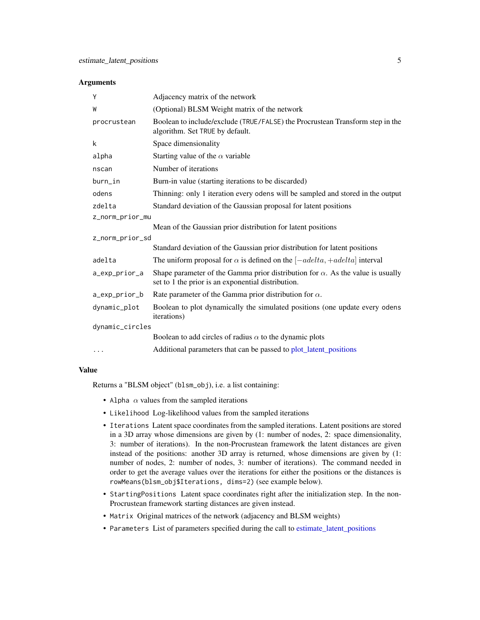#### <span id="page-4-0"></span>**Arguments**

| Y               | Adjacency matrix of the network                                                                                                              |
|-----------------|----------------------------------------------------------------------------------------------------------------------------------------------|
| W               | (Optional) BLSM Weight matrix of the network                                                                                                 |
| procrustean     | Boolean to include/exclude (TRUE/FALSE) the Procrustean Transform step in the<br>algorithm. Set TRUE by default.                             |
| k               | Space dimensionality                                                                                                                         |
| alpha           | Starting value of the $\alpha$ variable                                                                                                      |
| nscan           | Number of iterations                                                                                                                         |
| burn_in         | Burn-in value (starting iterations to be discarded)                                                                                          |
| odens           | Thinning: only 1 iteration every odens will be sampled and stored in the output                                                              |
| zdelta          | Standard deviation of the Gaussian proposal for latent positions                                                                             |
| z_norm_prior_mu |                                                                                                                                              |
|                 | Mean of the Gaussian prior distribution for latent positions                                                                                 |
| z_norm_prior_sd |                                                                                                                                              |
|                 | Standard deviation of the Gaussian prior distribution for latent positions                                                                   |
| adelta          | The uniform proposal for $\alpha$ is defined on the $[-adelta, +adelta]$ interval                                                            |
| a_exp_prior_a   | Shape parameter of the Gamma prior distribution for $\alpha$ . As the value is usually<br>set to 1 the prior is an exponential distribution. |
| a_exp_prior_b   | Rate parameter of the Gamma prior distribution for $\alpha$ .                                                                                |
| dynamic_plot    | Boolean to plot dynamically the simulated positions (one update every odens<br><i>iterations</i> )                                           |
| dynamic_circles |                                                                                                                                              |
|                 | Boolean to add circles of radius $\alpha$ to the dynamic plots                                                                               |
| .               | Additional parameters that can be passed to plot_latent_positions                                                                            |

#### Value

Returns a "BLSM object" (blsm\_obj), i.e. a list containing:

- Alpha  $\alpha$  values from the sampled iterations
- Likelihood Log-likelihood values from the sampled iterations
- Iterations Latent space coordinates from the sampled iterations. Latent positions are stored in a 3D array whose dimensions are given by (1: number of nodes, 2: space dimensionality, 3: number of iterations). In the non-Procrustean framework the latent distances are given instead of the positions: another 3D array is returned, whose dimensions are given by (1: number of nodes, 2: number of nodes, 3: number of iterations). The command needed in order to get the average values over the iterations for either the positions or the distances is rowMeans(blsm\_obj\$Iterations, dims=2) (see example below).
- StartingPositions Latent space coordinates right after the initialization step. In the non-Procrustean framework starting distances are given instead.
- Matrix Original matrices of the network (adjacency and BLSM weights)
- Parameters List of parameters specified during the call to [estimate\\_latent\\_positions](#page-3-1)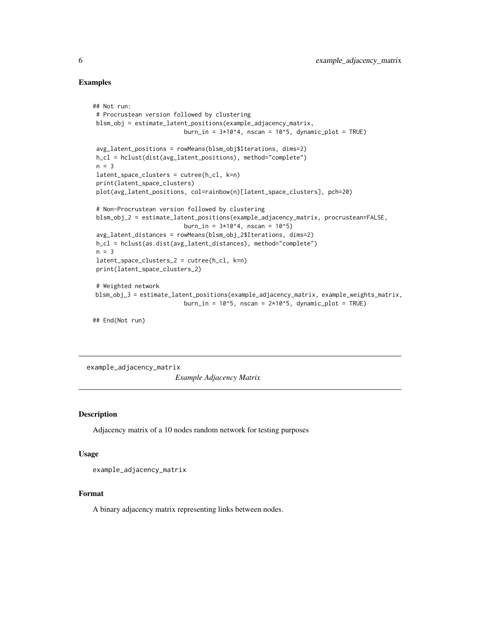#### Examples

```
## Not run:
# Procrustean version followed by clustering
blsm_obj = estimate_latent_positions(example_adjacency_matrix,
                          burn_in = 3*10^4, nscan = 10^5, dynamic_plot = TRUE)
 avg_latent_positions = rowMeans(blsm_obj$Iterations, dims=2)
h_cl = hclust(dist(avg_latent_positions), method="complete")
n = 3latent_space_clusters = cutree(h_cl, k=n)
print(latent_space_clusters)
plot(avg_latent_positions, col=rainbow(n)[latent_space_clusters], pch=20)
 # Non-Procrustean version followed by clustering
blsm_obj_2 = estimate_latent_positions(example_adjacency_matrix, procrustean=FALSE,
                          burn_in = 3*10^4, nscan = 10^5)
 avg_latent_distances = rowMeans(blsm_obj_2$Iterations, dims=2)
h_cl = hclust(as.dist(avg_latent_distances), method="complete")
n = 3latent_space_clusters_2 = cutree(h_cl, k=n)
print(latent_space_clusters_2)
# Weighted network
blsm_obj_3 = estimate_latent_positions(example_adjacency_matrix, example_weights_matrix,
                         burn_in = 10^5, nscan = 2*10^5, dynamic_plot = TRUE)
## End(Not run)
```
<span id="page-5-1"></span>example\_adjacency\_matrix

*Example Adjacency Matrix*

#### Description

Adjacency matrix of a 10 nodes random network for testing purposes

#### Usage

```
example_adjacency_matrix
```
#### Format

A binary adjacency matrix representing links between nodes.

<span id="page-5-0"></span>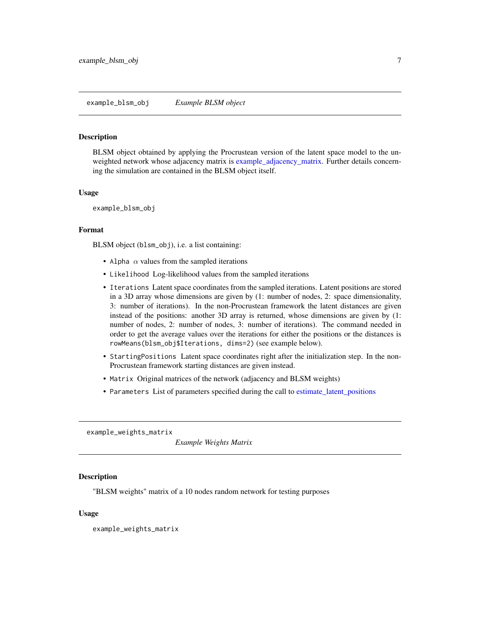<span id="page-6-0"></span>example\_blsm\_obj *Example BLSM object*

### Description

BLSM object obtained by applying the Procrustean version of the latent space model to the unweighted network whose adjacency matrix is [example\\_adjacency\\_matrix.](#page-5-1) Further details concerning the simulation are contained in the BLSM object itself.

#### Usage

example\_blsm\_obj

# Format

BLSM object (blsm\_obj), i.e. a list containing:

- Alpha  $\alpha$  values from the sampled iterations
- Likelihood Log-likelihood values from the sampled iterations
- Iterations Latent space coordinates from the sampled iterations. Latent positions are stored in a 3D array whose dimensions are given by (1: number of nodes, 2: space dimensionality, 3: number of iterations). In the non-Procrustean framework the latent distances are given instead of the positions: another 3D array is returned, whose dimensions are given by (1: number of nodes, 2: number of nodes, 3: number of iterations). The command needed in order to get the average values over the iterations for either the positions or the distances is rowMeans(blsm\_obj\$Iterations, dims=2) (see example below).
- StartingPositions Latent space coordinates right after the initialization step. In the non-Procrustean framework starting distances are given instead.
- Matrix Original matrices of the network (adjacency and BLSM weights)
- Parameters List of parameters specified during the call to [estimate\\_latent\\_positions](#page-3-1)

<span id="page-6-1"></span>example\_weights\_matrix

*Example Weights Matrix*

#### Description

"BLSM weights" matrix of a 10 nodes random network for testing purposes

#### Usage

example\_weights\_matrix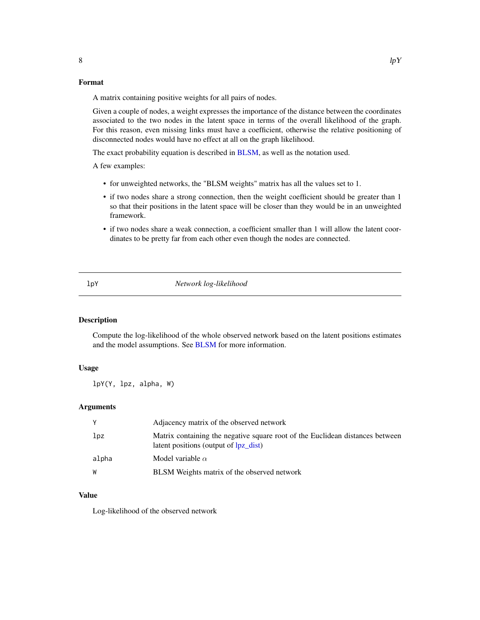#### Format

A matrix containing positive weights for all pairs of nodes.

Given a couple of nodes, a weight expresses the importance of the distance between the coordinates associated to the two nodes in the latent space in terms of the overall likelihood of the graph. For this reason, even missing links must have a coefficient, otherwise the relative positioning of disconnected nodes would have no effect at all on the graph likelihood.

The exact probability equation is described in [BLSM,](#page-2-1) as well as the notation used.

A few examples:

- for unweighted networks, the "BLSM weights" matrix has all the values set to 1.
- if two nodes share a strong connection, then the weight coefficient should be greater than 1 so that their positions in the latent space will be closer than they would be in an unweighted framework.
- if two nodes share a weak connection, a coefficient smaller than 1 will allow the latent coordinates to be pretty far from each other even though the nodes are connected.

<span id="page-7-1"></span>

lpY *Network log-likelihood*

# Description

Compute the log-likelihood of the whole observed network based on the latent positions estimates and the model assumptions. See [BLSM](#page-2-1) for more information.

#### Usage

lpY(Y, lpz, alpha, W)

#### Arguments

| Y     | Adjacency matrix of the observed network                                                                               |
|-------|------------------------------------------------------------------------------------------------------------------------|
| lpz   | Matrix containing the negative square root of the Euclidean distances between<br>latent positions (output of lpz_dist) |
| alpha | Model variable $\alpha$                                                                                                |
| W     | BLSM Weights matrix of the observed network                                                                            |

# Value

Log-likelihood of the observed network

<span id="page-7-0"></span>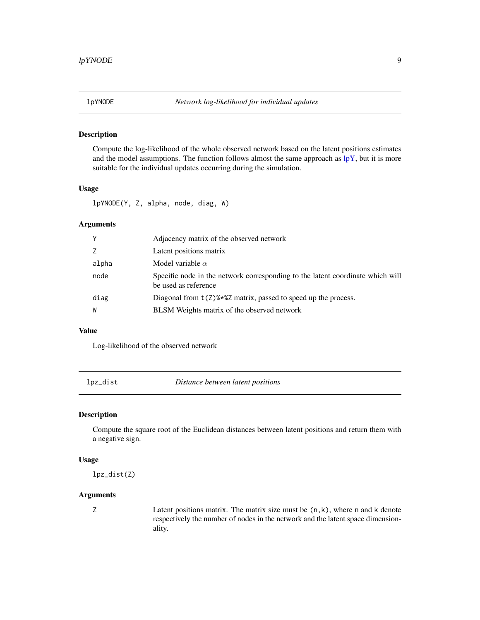<span id="page-8-0"></span>

# Description

Compute the log-likelihood of the whole observed network based on the latent positions estimates and the model assumptions. The function follows almost the same approach as  $\rm lpY$ , but it is more suitable for the individual updates occurring during the simulation.

# Usage

lpYNODE(Y, Z, alpha, node, diag, W)

# Arguments

| Υ     | Adjacency matrix of the observed network                                                               |
|-------|--------------------------------------------------------------------------------------------------------|
| Z     | Latent positions matrix                                                                                |
| alpha | Model variable $\alpha$                                                                                |
| node  | Specific node in the network corresponding to the latent coordinate which will<br>be used as reference |
| diag  | Diagonal from $t(2)$ %*%Z matrix, passed to speed up the process.                                      |
| W     | BLSM Weights matrix of the observed network                                                            |

#### Value

Log-likelihood of the observed network

<span id="page-8-1"></span>lpz\_dist *Distance between latent positions*

#### Description

Compute the square root of the Euclidean distances between latent positions and return them with a negative sign.

#### Usage

lpz\_dist(Z)

#### Arguments

 $Z$  Latent positions matrix. The matrix size must be  $(n, k)$ , where n and k denote respectively the number of nodes in the network and the latent space dimensionality.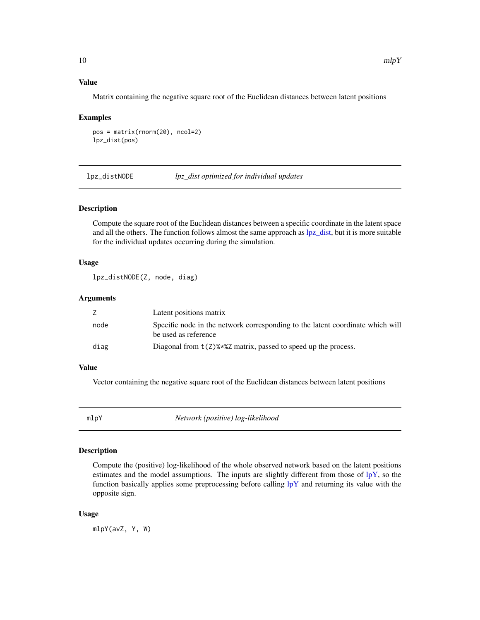#### <span id="page-9-0"></span>Value

Matrix containing the negative square root of the Euclidean distances between latent positions

#### Examples

```
pos = matrix(rnorm(20), ncol=2)
lpz_dist(pos)
```
lpz\_distNODE *lpz\_dist optimized for individual updates*

#### Description

Compute the square root of the Euclidean distances between a specific coordinate in the latent space and all the others. The function follows almost the same approach as [lpz\\_dist,](#page-8-1) but it is more suitable for the individual updates occurring during the simulation.

# Usage

lpz\_distNODE(Z, node, diag)

#### Arguments

|      | Latent positions matrix                                                                                |
|------|--------------------------------------------------------------------------------------------------------|
| node | Specific node in the network corresponding to the latent coordinate which will<br>be used as reference |
| diag | Diagonal from $t(2)$ % % 2 matrix, passed to speed up the process.                                     |

# Value

Vector containing the negative square root of the Euclidean distances between latent positions

mlpY *Network (positive) log-likelihood*

#### Description

Compute the (positive) log-likelihood of the whole observed network based on the latent positions estimates and the model assumptions. The inputs are slightly different from those of [lpY,](#page-7-1) so the function basically applies some preprocessing before calling  $lpY$  and returning its value with the opposite sign.

#### Usage

mlpY(avZ, Y, W)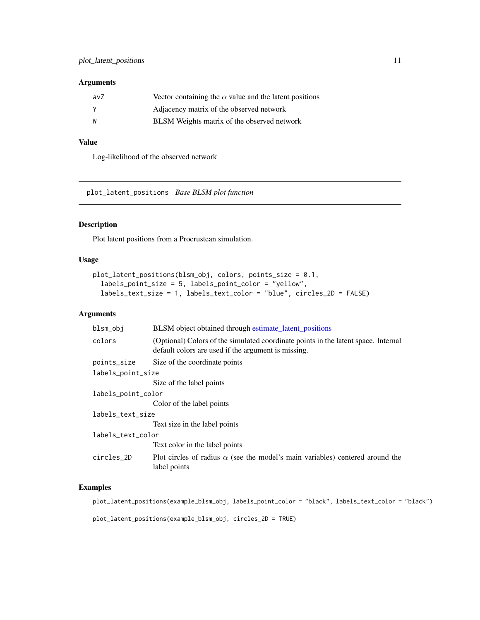## <span id="page-10-0"></span>Arguments

| avZ | Vector containing the $\alpha$ value and the latent positions |
|-----|---------------------------------------------------------------|
|     | Adjacency matrix of the observed network                      |
| W   | <b>BLSM</b> Weights matrix of the observed network            |

# Value

Log-likelihood of the observed network

<span id="page-10-1"></span>plot\_latent\_positions *Base BLSM plot function*

# Description

Plot latent positions from a Procrustean simulation.

#### Usage

```
plot_latent_positions(blsm_obj, colors, points_size = 0.1,
  labels_point_size = 5, labels_point_color = "yellow",
 labels_text_size = 1, labels_text_color = "blue", circles_2D = FALSE)
```
#### Arguments

| blsm_obj           | BLSM object obtained through estimate_latent_positions                                                                                    |  |
|--------------------|-------------------------------------------------------------------------------------------------------------------------------------------|--|
| colors             | (Optional) Colors of the simulated coordinate points in the latent space. Internal<br>default colors are used if the argument is missing. |  |
| points_size        | Size of the coordinate points                                                                                                             |  |
| labels_point_size  |                                                                                                                                           |  |
|                    | Size of the label points                                                                                                                  |  |
| labels_point_color |                                                                                                                                           |  |
|                    | Color of the label points                                                                                                                 |  |
| labels_text_size   |                                                                                                                                           |  |
|                    | Text size in the label points                                                                                                             |  |
| labels_text_color  |                                                                                                                                           |  |
|                    | Text color in the label points                                                                                                            |  |
| circles 2D         | Plot circles of radius $\alpha$ (see the model's main variables) centered around the<br>label points                                      |  |

# Examples

plot\_latent\_positions(example\_blsm\_obj, labels\_point\_color = "black", labels\_text\_color = "black")

plot\_latent\_positions(example\_blsm\_obj, circles\_2D = TRUE)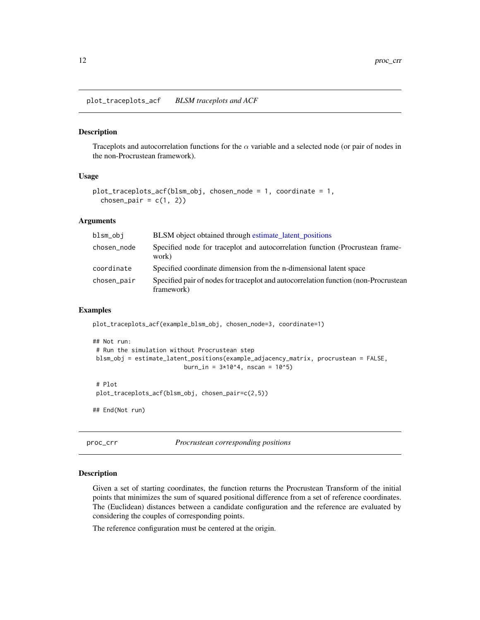<span id="page-11-0"></span>plot\_traceplots\_acf *BLSM traceplots and ACF*

#### Description

Traceplots and autocorrelation functions for the  $\alpha$  variable and a selected node (or pair of nodes in the non-Procrustean framework).

## Usage

```
plot_traceplots_acf(blsm_obj, chosen_node = 1, coordinate = 1,
 chosen_pair = c(1, 2))
```
#### Arguments

| blsm_obi    | <b>BLSM</b> object obtained through estimate latent positions                                     |
|-------------|---------------------------------------------------------------------------------------------------|
| chosen_node | Specified node for traceplot and autocorrelation function (Procrustean frame-<br>work)            |
| coordinate  | Specified coordinate dimension from the n-dimensional latent space                                |
| chosen_pair | Specified pair of nodes for traceplot and autocorrelation function (non-Procrustean<br>framework) |

# Examples

```
plot_traceplots_acf(example_blsm_obj, chosen_node=3, coordinate=1)
## Not run:
# Run the simulation without Procrustean step
blsm_obj = estimate_latent_positions(example_adjacency_matrix, procrustean = FALSE,
                          burn_in = 3*10^4, nscan = 10^5)
# Plot
plot_traceplots_acf(blsm_obj, chosen_pair=c(2,5))
## End(Not run)
```
proc\_crr *Procrustean corresponding positions*

#### Description

Given a set of starting coordinates, the function returns the Procrustean Transform of the initial points that minimizes the sum of squared positional difference from a set of reference coordinates. The (Euclidean) distances between a candidate configuration and the reference are evaluated by considering the couples of corresponding points.

The reference configuration must be centered at the origin.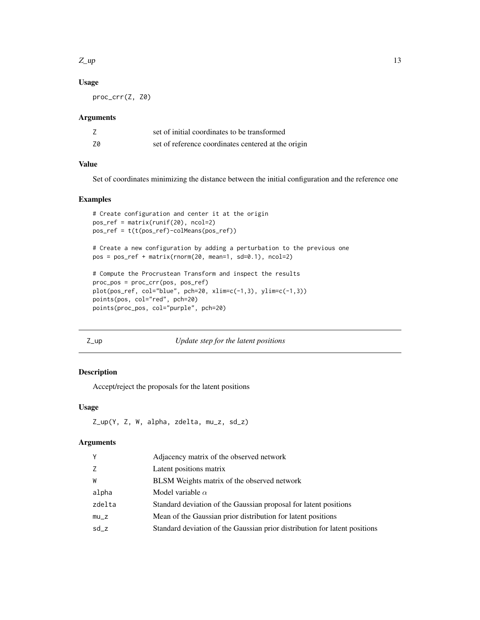#### <span id="page-12-0"></span> $Z$ \_up  $\qquad \qquad$  13

# Usage

proc\_crr(Z, Z0)

#### Arguments

|    | set of initial coordinates to be transformed        |
|----|-----------------------------------------------------|
| Z0 | set of reference coordinates centered at the origin |

# Value

Set of coordinates minimizing the distance between the initial configuration and the reference one

# Examples

```
# Create configuration and center it at the origin
pos_ref = matrix(runif(20), ncol=2)
pos_ref = t(t(pos_ref)-colMeans(pos_ref))
# Create a new configuration by adding a perturbation to the previous one
pos = pos_ref + matrix(rnorm(20, mean=1, sd=0.1), ncol=2)
# Compute the Procrustean Transform and inspect the results
proc_pos = proc_crr(pos, pos_ref)
plot(pos_ref, col="blue", pch=20, xlim=c(-1,3), ylim=c(-1,3))
points(pos, col="red", pch=20)
points(proc_pos, col="purple", pch=20)
```
#### Z\_up *Update step for the latent positions*

# Description

Accept/reject the proposals for the latent positions

#### Usage

```
Z_up(Y, Z, W, alpha, zdelta, mu_z, sd_z)
```
#### Arguments

| γ      | Adjacency matrix of the observed network                                   |
|--------|----------------------------------------------------------------------------|
| Z.     | Latent positions matrix                                                    |
| W      | <b>BLSM</b> Weights matrix of the observed network                         |
| alpha  | Model variable $\alpha$                                                    |
| zdelta | Standard deviation of the Gaussian proposal for latent positions           |
| mu_z   | Mean of the Gaussian prior distribution for latent positions               |
| sd_z   | Standard deviation of the Gaussian prior distribution for latent positions |
|        |                                                                            |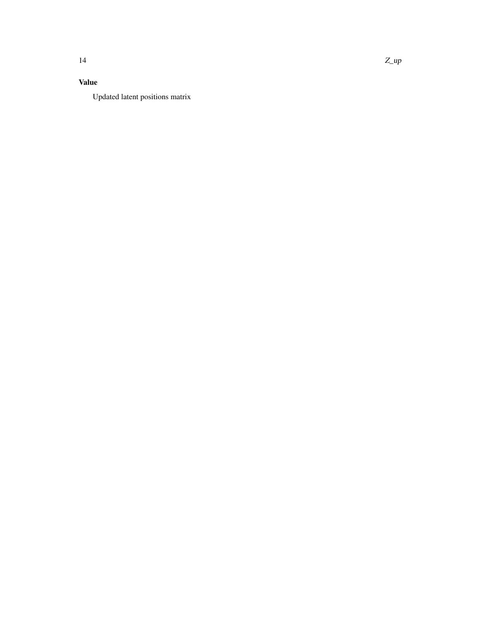# Value

Updated latent positions matrix